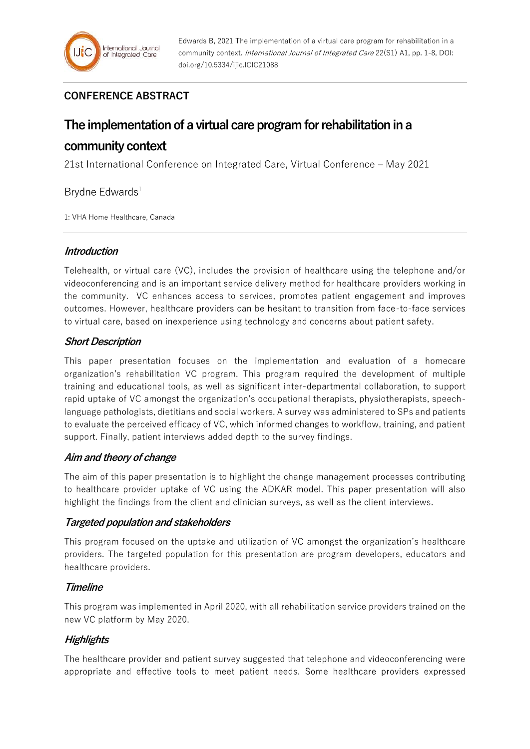# **CONFERENCE ABSTRACT**

# **The implementation of a virtual care program for rehabilitation in a**

# **community context**

21st International Conference on Integrated Care, Virtual Conference – May 2021

## Brydne Edwards<sup>1</sup>

1: VHA Home Healthcare, Canada

## **Introduction**

Telehealth, or virtual care (VC), includes the provision of healthcare using the telephone and/or videoconferencing and is an important service delivery method for healthcare providers working in the community. VC enhances access to services, promotes patient engagement and improves outcomes. However, healthcare providers can be hesitant to transition from face-to-face services to virtual care, based on inexperience using technology and concerns about patient safety.

## **Short Description**

This paper presentation focuses on the implementation and evaluation of a homecare organization's rehabilitation VC program. This program required the development of multiple training and educational tools, as well as significant inter-departmental collaboration, to support rapid uptake of VC amongst the organization's occupational therapists, physiotherapists, speechlanguage pathologists, dietitians and social workers. A survey was administered to SPs and patients to evaluate the perceived efficacy of VC, which informed changes to workflow, training, and patient support. Finally, patient interviews added depth to the survey findings.

## **Aim and theory of change**

The aim of this paper presentation is to highlight the change management processes contributing to healthcare provider uptake of VC using the ADKAR model. This paper presentation will also highlight the findings from the client and clinician surveys, as well as the client interviews.

## **Targeted population and stakeholders**

This program focused on the uptake and utilization of VC amongst the organization's healthcare providers. The targeted population for this presentation are program developers, educators and healthcare providers.

## **Timeline**

This program was implemented in April 2020, with all rehabilitation service providers trained on the new VC platform by May 2020.

## **Highlights**

The healthcare provider and patient survey suggested that telephone and videoconferencing were appropriate and effective tools to meet patient needs. Some healthcare providers expressed